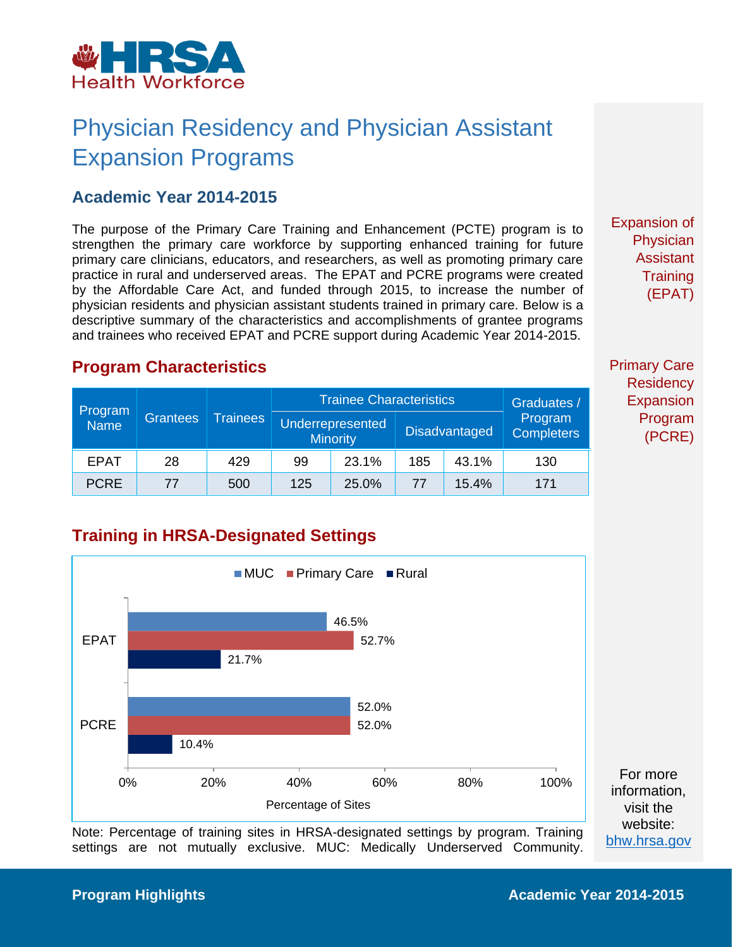

## Physician Residency and Physician Assistant Expansion Programs

#### **Academic Year 2014-2015**

The purpose of the Primary Care Training and Enhancement (PCTE) program is to strengthen the primary care workforce by supporting enhanced training for future primary care clinicians, educators, and researchers, as well as promoting primary care practice in rural and underserved areas. The EPAT and PCRE programs were created by the Affordable Care Act, and funded through 2015, to increase the number of physician residents and physician assistant students trained in primary care. Below is a descriptive summary of the characteristics and accomplishments of grantee programs and trainees who received EPAT and PCRE support during Academic Year 2014-2015.

Expansion of **Physician** Assistant **Training** (EPAT)

#### **Program Characteristics**

| Program<br><b>Name</b> | <b>Grantees</b> | <b>Trainees</b> | <b>Trainee Characteristics</b>      |       |                      |       | Graduates /                  |
|------------------------|-----------------|-----------------|-------------------------------------|-------|----------------------|-------|------------------------------|
|                        |                 |                 | Underrepresented<br><b>Minority</b> |       | <b>Disadvantaged</b> |       | Program<br><b>Completers</b> |
| <b>EPAT</b>            | 28              | 429             | 99                                  | 23.1% | 185                  | 43.1% | 130                          |
| <b>PCRE</b>            | 77              | 500             | 125                                 | 25.0% | 77                   | 15.4% | 171                          |

### **Training in HRSA-Designated Settings**



Note: Percentage of training sites in HRSA-designated settings by program. Training settings are not mutually exclusive. MUC: Medically Underserved Community. Primary Care **Residency** Expansion Program (PCRE)

[bhw.hrsa.gov](http://bhw.hrsa.gov/)